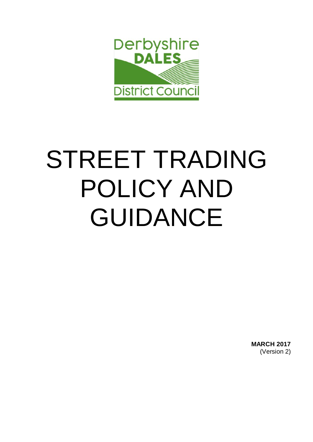

# STREET TRADING POLICY AND GUIDANCE

**MARCH 2017** (Version 2)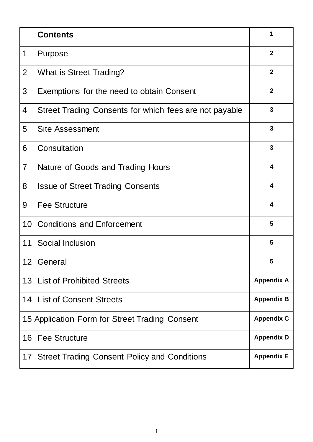|                | <b>Contents</b>                                        | 1                       |
|----------------|--------------------------------------------------------|-------------------------|
| 1              | Purpose                                                | $\overline{2}$          |
| $\overline{2}$ | What is Street Trading?                                | $\overline{2}$          |
| 3              | Exemptions for the need to obtain Consent              | $\mathbf{2}$            |
| 4              | Street Trading Consents for which fees are not payable | $\mathbf{3}$            |
| 5              | <b>Site Assessment</b>                                 | 3                       |
| 6              | Consultation                                           | 3                       |
| 7              | Nature of Goods and Trading Hours                      | $\overline{\mathbf{4}}$ |
| 8              | <b>Issue of Street Trading Consents</b>                | $\overline{\mathbf{4}}$ |
| 9              | <b>Fee Structure</b>                                   | $\overline{\mathbf{4}}$ |
| 10             | <b>Conditions and Enforcement</b>                      | 5                       |
| 11             | Social Inclusion                                       | 5                       |
|                | 12 General                                             | 5                       |
|                | 13 List of Prohibited Streets                          | <b>Appendix A</b>       |
|                | 14 List of Consent Streets                             | <b>Appendix B</b>       |
|                | 15 Application Form for Street Trading Consent         | <b>Appendix C</b>       |
|                | 16 Fee Structure                                       | <b>Appendix D</b>       |
|                | 17 Street Trading Consent Policy and Conditions        | <b>Appendix E</b>       |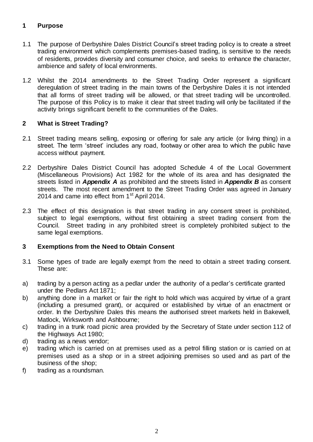# **1 Purpose**

- 1.1 The purpose of Derbyshire Dales District Council's street trading policy is to create a street trading environment which complements premises-based trading, is sensitive to the needs of residents, provides diversity and consumer choice, and seeks to enhance the character, ambience and safety of local environments.
- 1.2 Whilst the 2014 amendments to the Street Trading Order represent a significant deregulation of street trading in the main towns of the Derbyshire Dales it is not intended that all forms of street trading will be allowed, or that street trading will be uncontrolled. The purpose of this Policy is to make it clear that street trading will only be facilitated if the activity brings significant benefit to the communities of the Dales.

# **2 What is Street Trading?**

- 2.1 Street trading means selling, exposing or offering for sale any article (or living thing) in a street. The term 'street' includes any road, footway or other area to which the public have access without payment.
- 2.2 Derbyshire Dales District Council has adopted Schedule 4 of the Local Government (Miscellaneous Provisions) Act 1982 for the whole of its area and has designated the streets listed in *Appendix A* as prohibited and the streets listed in *Appendix B* as consent streets. The most recent amendment to the Street Trading Order was agreed in January 2014 and came into effect from 1<sup>st</sup> April 2014.
- 2.3 The effect of this designation is that street trading in any consent street is prohibited, subject to legal exemptions, without first obtaining a street trading consent from the Council. Street trading in any prohibited street is completely prohibited subject to the same legal exemptions.

# **3 Exemptions from the Need to Obtain Consent**

- 3.1 Some types of trade are legally exempt from the need to obtain a street trading consent. These are:
- a) trading by a person acting as a pedlar under the authority of a pedlar's certificate granted under the Pedlars Act 1871;
- b) anything done in a market or fair the right to hold which was acquired by virtue of a grant (including a presumed grant), or acquired or established by virtue of an enactment or order. In the Derbyshire Dales this means the authorised street markets held in Bakewell, Matlock, Wirksworth and Ashbourne;
- c) trading in a trunk road picnic area provided by the Secretary of State under section 112 of the Highways Act 1980;
- d) trading as a news vendor;
- e) trading which is carried on at premises used as a petrol filling station or is carried on at premises used as a shop or in a street adjoining premises so used and as part of the business of the shop;
- f) trading as a roundsman.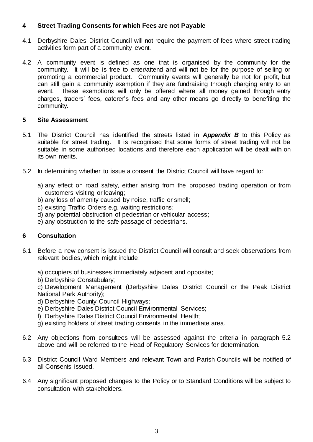# **4 Street Trading Consents for which Fees are not Payable**

- 4.1 Derbyshire Dales District Council will not require the payment of fees where street trading activities form part of a community event.
- 4.2 A community event is defined as one that is organised by the community for the community. It will be is free to enter/attend and will not be for the purpose of selling or promoting a commercial product. Community events will generally be not for profit, but can still gain a community exemption if they are fundraising through charging entry to an event. These exemptions will only be offered where all money gained through entry charges, traders' fees, caterer's fees and any other means go directly to benefiting the community.

#### **5 Site Assessment**

- 5.1 The District Council has identified the streets listed in *Appendix B* to this Policy as suitable for street trading. It is recognised that some forms of street trading will not be suitable in some authorised locations and therefore each application will be dealt with on its own merits.
- 5.2 In determining whether to issue a consent the District Council will have regard to:
	- a) any effect on road safety, either arising from the proposed trading operation or from customers visiting or leaving;
	- b) any loss of amenity caused by noise, traffic or smell;
	- c) existing Traffic Orders e.g. waiting restrictions;
	- d) any potential obstruction of pedestrian or vehicular access;
	- e) any obstruction to the safe passage of pedestrians.

#### **6 Consultation**

- 6.1 Before a new consent is issued the District Council will consult and seek observations from relevant bodies, which might include:
	- a) occupiers of businesses immediately adjacent and opposite;
	- b) Derbyshire Constabulary;

c) Development Management (Derbyshire Dales District Council or the Peak District National Park Authority);

- d) Derbyshire County Council Highways;
- e) Derbyshire Dales District Council Environmental Services;
- f) Derbyshire Dales District Council Environmental Health;
- g) existing holders of street trading consents in the immediate area.
- 6.2 Any objections from consultees will be assessed against the criteria in paragraph 5.2 above and will be referred to the Head of Regulatory Services for determination.
- 6.3 District Council Ward Members and relevant Town and Parish Councils will be notified of all Consents issued.
- 6.4 Any significant proposed changes to the Policy or to Standard Conditions will be subject to consultation with stakeholders.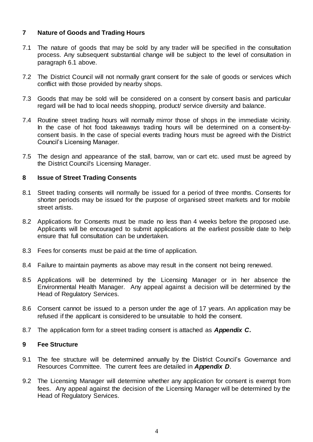## **7 Nature of Goods and Trading Hours**

- 7.1 The nature of goods that may be sold by any trader will be specified in the consultation process. Any subsequent substantial change will be subject to the level of consultation in paragraph 6.1 above.
- 7.2 The District Council will not normally grant consent for the sale of goods or services which conflict with those provided by nearby shops.
- 7.3 Goods that may be sold will be considered on a consent by consent basis and particular regard will be had to local needs shopping, product/ service diversity and balance.
- 7.4 Routine street trading hours will normally mirror those of shops in the immediate vicinity. In the case of hot food takeaways trading hours will be determined on a consent-byconsent basis. In the case of special events trading hours must be agreed with the District Council's Licensing Manager.
- 7.5 The design and appearance of the stall, barrow, van or cart etc. used must be agreed by the District Council's Licensing Manager.

#### **8 Issue of Street Trading Consents**

- 8.1 Street trading consents will normally be issued for a period of three months. Consents for shorter periods may be issued for the purpose of organised street markets and for mobile street artists.
- 8.2 Applications for Consents must be made no less than 4 weeks before the proposed use. Applicants will be encouraged to submit applications at the earliest possible date to help ensure that full consultation can be undertaken.
- 8.3 Fees for consents must be paid at the time of application.
- 8.4 Failure to maintain payments as above may result in the consent not being renewed.
- 8.5 Applications will be determined by the Licensing Manager or in her absence the Environmental Health Manager. Any appeal against a decision will be determined by the Head of Regulatory Services.
- 8.6 Consent cannot be issued to a person under the age of 17 years. An application may be refused if the applicant is considered to be unsuitable to hold the consent.
- 8.7 The application form for a street trading consent is attached as *Appendix C***.**

#### **9 Fee Structure**

- 9.1 The fee structure will be determined annually by the District Council's Governance and Resources Committee. The current fees are detailed in *Appendix D*.
- 9.2 The Licensing Manager will determine whether any application for consent is exempt from fees. Any appeal against the decision of the Licensing Manager will be determined by the Head of Regulatory Services.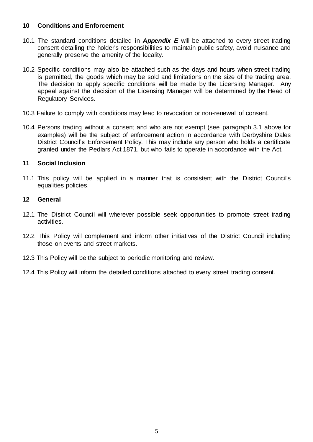## **10 Conditions and Enforcement**

- 10.1 The standard conditions detailed in *Appendix E* will be attached to every street trading consent detailing the holder's responsibilities to maintain public safety, avoid nuisance and generally preserve the amenity of the locality.
- 10.2 Specific conditions may also be attached such as the days and hours when street trading is permitted, the goods which may be sold and limitations on the size of the trading area. The decision to apply specific conditions will be made by the Licensing Manager. Any appeal against the decision of the Licensing Manager will be determined by the Head of Regulatory Services.
- 10.3 Failure to comply with conditions may lead to revocation or non-renewal of consent.
- 10.4 Persons trading without a consent and who are not exempt (see paragraph 3.1 above for examples) will be the subject of enforcement action in accordance with Derbyshire Dales District Council's Enforcement Policy. This may include any person who holds a certificate granted under the Pedlars Act 1871, but who fails to operate in accordance with the Act.

#### **11 Social Inclusion**

11.1 This policy will be applied in a manner that is consistent with the District Council's equalities policies.

#### **12 General**

- 12.1 The District Council will wherever possible seek opportunities to promote street trading activities.
- 12.2 This Policy will complement and inform other initiatives of the District Council including those on events and street markets.
- 12.3 This Policy will be the subject to periodic monitoring and review.
- 12.4 This Policy will inform the detailed conditions attached to every street trading consent.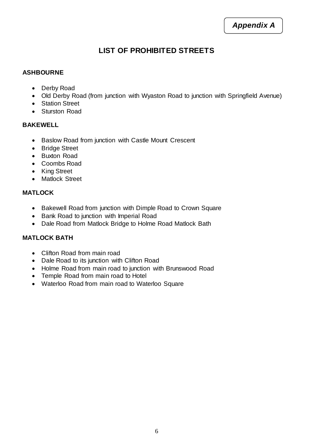# **LIST OF PROHIBITED STREETS**

## **ASHBOURNE**

- Derby Road
- Old Derby Road (from junction with Wyaston Road to junction with Springfield Avenue)
- Station Street
- Sturston Road

#### **BAKEWELL**

- Baslow Road from junction with Castle Mount Crescent
- Bridge Street
- Buxton Road
- Coombs Road
- King Street
- Matlock Street

# **MATLOCK**

- Bakewell Road from junction with Dimple Road to Crown Square
- Bank Road to junction with Imperial Road
- Dale Road from Matlock Bridge to Holme Road Matlock Bath

# **MATLOCK BATH**

- Clifton Road from main road
- Dale Road to its junction with Clifton Road
- Holme Road from main road to junction with Brunswood Road
- Temple Road from main road to Hotel
- Waterloo Road from main road to Waterloo Square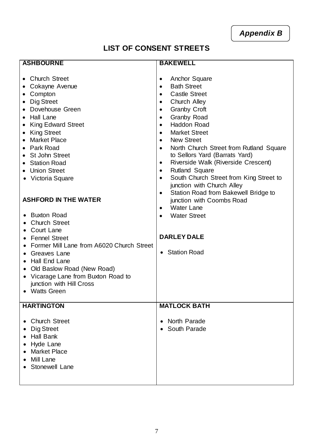*Appendix B*

# **LIST OF CONSENT STREETS**

| <b>ASHBOURNE</b>                                                                                                                                                                                                                                                                                                                                                                                                                                                                                                                                                                                                           | <b>BAKEWELL</b>                                                                                                                                                                                                                                                                                                                                                                                                                                                                                                                                                                                                                                                                                                                                                                                       |
|----------------------------------------------------------------------------------------------------------------------------------------------------------------------------------------------------------------------------------------------------------------------------------------------------------------------------------------------------------------------------------------------------------------------------------------------------------------------------------------------------------------------------------------------------------------------------------------------------------------------------|-------------------------------------------------------------------------------------------------------------------------------------------------------------------------------------------------------------------------------------------------------------------------------------------------------------------------------------------------------------------------------------------------------------------------------------------------------------------------------------------------------------------------------------------------------------------------------------------------------------------------------------------------------------------------------------------------------------------------------------------------------------------------------------------------------|
| • Church Street<br>Cokayne Avenue<br>Compton<br>Dig Street<br>Dovehouse Green<br>Hall Lane<br>$\bullet$<br><b>King Edward Street</b><br><b>King Street</b><br><b>Market Place</b><br>Park Road<br><b>St John Street</b><br><b>Station Road</b><br>• Union Street<br>• Victoria Square<br><b>ASHFORD IN THE WATER</b><br><b>Buxton Road</b><br><b>Church Street</b><br><b>Court Lane</b><br><b>Fennel Street</b><br>Former Mill Lane from A6020 Church Street<br>Greaves Lane<br>Hall End Lane<br>Old Baslow Road (New Road)<br>$\bullet$<br>Vicarage Lane from Buxton Road to<br>junction with Hill Cross<br>• Watts Green | Anchor Square<br>$\bullet$<br><b>Bath Street</b><br>$\bullet$<br><b>Castle Street</b><br>$\bullet$<br>Church Alley<br>$\bullet$<br><b>Granby Croft</b><br>$\bullet$<br>Granby Road<br>$\bullet$<br><b>Haddon Road</b><br>$\bullet$<br><b>Market Street</b><br>$\bullet$<br><b>New Street</b><br>$\bullet$<br>North Church Street from Rutland Square<br>$\bullet$<br>to Sellors Yard (Barrats Yard)<br>Riverside Walk (Riverside Crescent)<br>$\bullet$<br><b>Rutland Square</b><br>$\bullet$<br>South Church Street from King Street to<br>$\bullet$<br>junction with Church Alley<br>Station Road from Bakewell Bridge to<br>$\bullet$<br>junction with Coombs Road<br><b>Water Lane</b><br>$\bullet$<br><b>Water Street</b><br>$\bullet$<br><b>DARLEY DALE</b><br><b>Station Road</b><br>$\bullet$ |
| <b>HARTINGTON</b>                                                                                                                                                                                                                                                                                                                                                                                                                                                                                                                                                                                                          | <b>MATLOCK BATH</b>                                                                                                                                                                                                                                                                                                                                                                                                                                                                                                                                                                                                                                                                                                                                                                                   |
| <b>Church Street</b><br>Dig Street<br><b>Hall Bank</b><br>Hyde Lane<br><b>Market Place</b><br>Mill Lane<br><b>Stonewell Lane</b>                                                                                                                                                                                                                                                                                                                                                                                                                                                                                           | North Parade<br>$\bullet$<br>South Parade                                                                                                                                                                                                                                                                                                                                                                                                                                                                                                                                                                                                                                                                                                                                                             |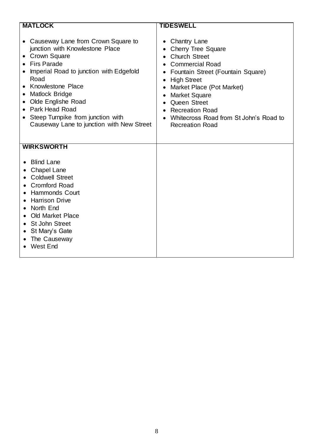| <b>MATLOCK</b>                                                                                                                                                                                                                                                                                                                                        | <b>TIDESWELL</b>                                                                                                                                                                                                                                                                                                                                                |
|-------------------------------------------------------------------------------------------------------------------------------------------------------------------------------------------------------------------------------------------------------------------------------------------------------------------------------------------------------|-----------------------------------------------------------------------------------------------------------------------------------------------------------------------------------------------------------------------------------------------------------------------------------------------------------------------------------------------------------------|
| • Causeway Lane from Crown Square to<br>junction with Knowlestone Place<br><b>Crown Square</b><br>$\bullet$<br><b>Firs Parade</b><br>Imperial Road to junction with Edgefold<br>Road<br>Knowlestone Place<br>Matlock Bridge<br>Olde Englishe Road<br>Park Head Road<br>Steep Turnpike from junction with<br>Causeway Lane to junction with New Street | <b>Chantry Lane</b><br>$\bullet$<br><b>Cherry Tree Square</b><br><b>Church Street</b><br><b>Commercial Road</b><br>Fountain Street (Fountain Square)<br><b>High Street</b><br>$\bullet$<br>Market Place (Pot Market)<br><b>Market Square</b><br>٠<br>Queen Street<br><b>Recreation Road</b><br>Whitecross Road from St John's Road to<br><b>Recreation Road</b> |
| <b>WIRKSWORTH</b>                                                                                                                                                                                                                                                                                                                                     |                                                                                                                                                                                                                                                                                                                                                                 |
| <b>Blind Lane</b><br><b>Chapel Lane</b><br><b>Coldwell Street</b><br><b>Cromford Road</b><br><b>Hammonds Court</b><br><b>Harrison Drive</b><br>North End<br><b>Old Market Place</b><br>St John Street<br>St Mary's Gate<br>The Causeway<br><b>West End</b>                                                                                            |                                                                                                                                                                                                                                                                                                                                                                 |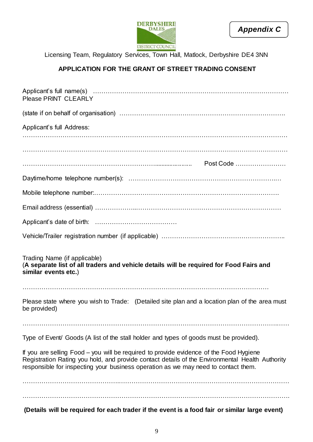



Licensing Team, Regulatory Services, Town Hall, Matlock, Derbyshire DE4 3NN

# **APPLICATION FOR THE GRANT OF STREET TRADING CONSENT**

| (Details will be required for each trader if the event is a food fair or similar large event)                                                                                                                                                                                   |
|---------------------------------------------------------------------------------------------------------------------------------------------------------------------------------------------------------------------------------------------------------------------------------|
|                                                                                                                                                                                                                                                                                 |
| If you are selling Food – you will be required to provide evidence of the Food Hygiene<br>Registration Rating you hold, and provide contact details of the Environmental Health Authority<br>responsible for inspecting your business operation as we may need to contact them. |
| Type of Event/ Goods (A list of the stall holder and types of goods must be provided).                                                                                                                                                                                          |
|                                                                                                                                                                                                                                                                                 |
| Please state where you wish to Trade: (Detailed site plan and a location plan of the area must<br>be provided)                                                                                                                                                                  |
| Trading Name (if applicable)<br>(A separate list of all traders and vehicle details will be required for Food Fairs and<br>similar events etc.)                                                                                                                                 |
|                                                                                                                                                                                                                                                                                 |
|                                                                                                                                                                                                                                                                                 |
|                                                                                                                                                                                                                                                                                 |
|                                                                                                                                                                                                                                                                                 |
|                                                                                                                                                                                                                                                                                 |
|                                                                                                                                                                                                                                                                                 |
| Applicant's full Address:                                                                                                                                                                                                                                                       |
|                                                                                                                                                                                                                                                                                 |
| Please PRINT CLEARLY                                                                                                                                                                                                                                                            |
|                                                                                                                                                                                                                                                                                 |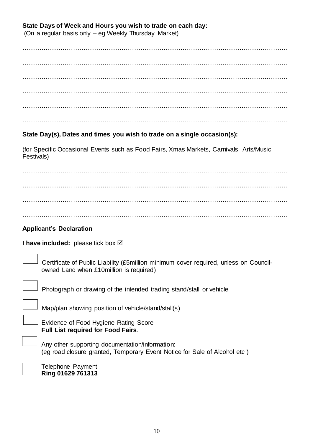## **State Days of Week and Hours you wish to trade on each day:**

(On a regular basis only – eg Weekly Thursday Market)

……………………………………………………………………………………………………………… ……………………………………………………………………………………………………………… ……………………………………………………………………………………………………………… ………………………………………………………………………………………………………………  $\mathcal{L}^{\text{max}}_{\text{max}}$ 

# **State Day(s), Dates and times you wish to trade on a single occasion(s):**

(for Specific Occasional Events such as Food Fairs, Xmas Markets, Carnivals, Arts/Music Festivals)

 $\mathcal{L}^{\text{max}}_{\text{max}}$  $\mathcal{L}^{\text{max}}_{\text{max}}$ ………………………………………………………………………………………………………………

# **Applicant's Declaration**

**I have included:** please tick box **Ø** 

 Certificate of Public Liability (£5million minimum cover required, unless on Councilowned Land when £10million is required)

Photograph or drawing of the intended trading stand/stall or vehicle

Map/plan showing position of vehicle/stand/stall(s)

 Evidence of Food Hygiene Rating Score **Full List required for Food Fairs**.

Any other supporting documentation/information: (eg road closure granted, Temporary Event Notice for Sale of Alcohol etc )

Telephone Payment **Ring 01629 761313**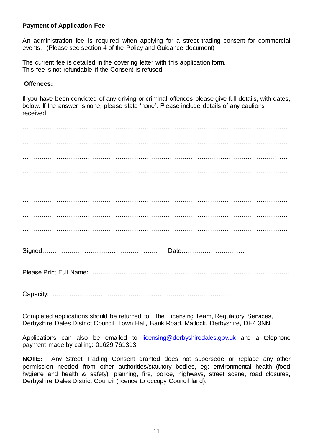#### **Payment of Application Fee**.

An administration fee is required when applying for a street trading consent for commercial events. (Please see section 4 of the Policy and Guidance document)

The current fee is detailed in the covering letter with this application form. This fee is not refundable if the Consent is refused.

#### **Offences:**

If you have been convicted of any driving or criminal offences please give full details, with dates, below. If the answer is none, please state 'none'. Please include details of any cautions received.

Completed applications should be returned to: The Licensing Team, Regulatory Services, Derbyshire Dales District Council, Town Hall, Bank Road, Matlock, Derbyshire, DE4 3NN

Applications can also be emailed to [licensing@derbyshiredales.gov.uk](mailto:licensing@derbyshiredales.gov.uk) and a telephone payment made by calling: 01629 761313.

**NOTE:** Any Street Trading Consent granted does not supersede or replace any other permission needed from other authorities/statutory bodies, eg: environmental health (food hygiene and health & safety); planning, fire, police, highways, street scene, road closures, Derbyshire Dales District Council (licence to occupy Council land).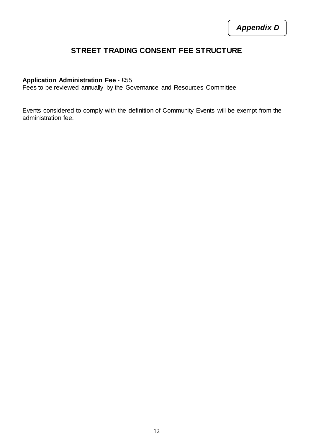# **STREET TRADING CONSENT FEE STRUCTURE**

#### **Application Administration Fee** - £55

Fees to be reviewed annually by the Governance and Resources Committee

Events considered to comply with the definition of Community Events will be exempt from the administration fee.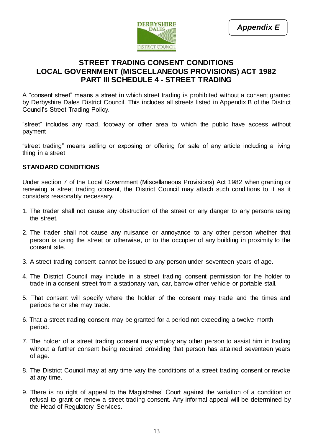

# **STREET TRADING CONSENT CONDITIONS LOCAL GOVERNMENT (MISCELLANEOUS PROVISIONS) ACT 1982 PART III SCHEDULE 4 - STREET TRADING**

A "consent street" means a street in which street trading is prohibited without a consent granted by Derbyshire Dales District Council. This includes all streets listed in Appendix B of the District Council's Street Trading Policy.

"street" includes any road, footway or other area to which the public have access without payment

"street trading" means selling or exposing or offering for sale of any article including a living thing in a street

#### **STANDARD CONDITIONS**

Under section 7 of the Local Government (Miscellaneous Provisions) Act 1982 when granting or renewing a street trading consent, the District Council may attach such conditions to it as it considers reasonably necessary.

- 1. The trader shall not cause any obstruction of the street or any danger to any persons using the street.
- 2. The trader shall not cause any nuisance or annoyance to any other person whether that person is using the street or otherwise, or to the occupier of any building in proximity to the consent site.
- 3. A street trading consent cannot be issued to any person under seventeen years of age.
- 4. The District Council may include in a street trading consent permission for the holder to trade in a consent street from a stationary van, car, barrow other vehicle or portable stall.
- 5. That consent will specify where the holder of the consent may trade and the times and periods he or she may trade.
- 6. That a street trading consent may be granted for a period not exceeding a twelve month period.
- 7. The holder of a street trading consent may employ any other person to assist him in trading without a further consent being required providing that person has attained seventeen years of age.
- 8. The District Council may at any time vary the conditions of a street trading consent or revoke at any time.
- 9. There is no right of appeal to the Magistrates' Court against the variation of a condition or refusal to grant or renew a street trading consent. Any informal appeal will be determined by the Head of Regulatory Services.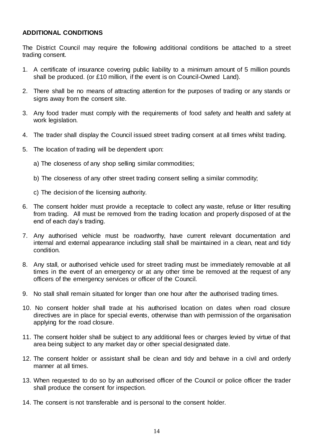## **ADDITIONAL CONDITIONS**

The District Council may require the following additional conditions be attached to a street trading consent.

- 1. A certificate of insurance covering public liability to a minimum amount of 5 million pounds shall be produced. (or £10 million, if the event is on Council-Owned Land).
- 2. There shall be no means of attracting attention for the purposes of trading or any stands or signs away from the consent site.
- 3. Any food trader must comply with the requirements of food safety and health and safety at work legislation.
- 4. The trader shall display the Council issued street trading consent at all times whilst trading.
- 5. The location of trading will be dependent upon:
	- a) The closeness of any shop selling similar commodities;
	- b) The closeness of any other street trading consent selling a similar commodity;
	- c) The decision of the licensing authority.
- 6. The consent holder must provide a receptacle to collect any waste, refuse or litter resulting from trading. All must be removed from the trading location and properly disposed of at the end of each day's trading.
- 7. Any authorised vehicle must be roadworthy, have current relevant documentation and internal and external appearance including stall shall be maintained in a clean, neat and tidy condition.
- 8. Any stall, or authorised vehicle used for street trading must be immediately removable at all times in the event of an emergency or at any other time be removed at the request of any officers of the emergency services or officer of the Council.
- 9. No stall shall remain situated for longer than one hour after the authorised trading times.
- 10. No consent holder shall trade at his authorised location on dates when road closure directives are in place for special events, otherwise than with permission of the organisation applying for the road closure.
- 11. The consent holder shall be subject to any additional fees or charges levied by virtue of that area being subject to any market day or other special designated date.
- 12. The consent holder or assistant shall be clean and tidy and behave in a civil and orderly manner at all times.
- 13. When requested to do so by an authorised officer of the Council or police officer the trader shall produce the consent for inspection.
- 14. The consent is not transferable and is personal to the consent holder.